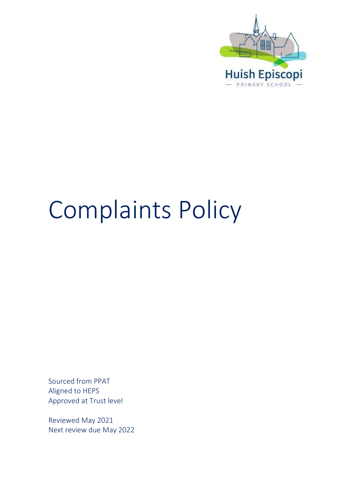

# Complaints Policy

Sourced from PPAT Aligned to HEPS Approved at Trust level

Reviewed May 2021 Next review due May 2022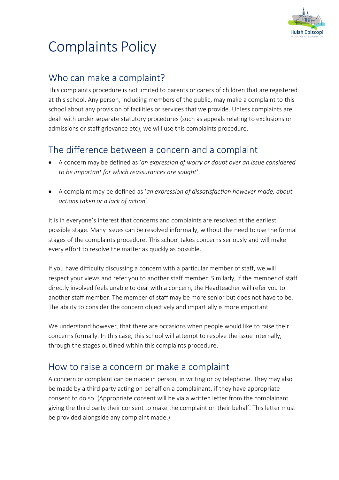

## Complaints Policy

## Who can make a complaint?

This complaints procedure is not limited to parents or carers of children that are registered at this school. Any person, including members of the public, may make a complaint to this school about any provision of facilities or services that we provide. Unless complaints are dealt with under separate statutory procedures (such as appeals relating to exclusions or admissions or staff grievance etc), we will use this complaints procedure.

## The difference between a concern and a complaint

- A concern may be defined as '*an expression of worry or doubt over an issue considered to be important for which reassurances are sought'*.
- A complaint may be defined as '*an expression of dissatisfaction however made, about actions taken or a lack of action*'.

It is in everyone's interest that concerns and complaints are resolved at the earliest possible stage. Many issues can be resolved informally, without the need to use the formal stages of the complaints procedure. This school takes concerns seriously and will make every effort to resolve the matter as quickly as possible.

If you have difficulty discussing a concern with a particular member of staff, we will respect your views and refer you to another staff member. Similarly, if the member of staff directly involved feels unable to deal with a concern, the Headteacher will refer you to another staff member. The member of staff may be more senior but does not have to be. The ability to consider the concern objectively and impartially is more important.

We understand however, that there are occasions when people would like to raise their concerns formally. In this case, this school will attempt to resolve the issue internally, through the stages outlined within this complaints procedure.

### How to raise a concern or make a complaint

A concern or complaint can be made in person, in writing or by telephone. They may also be made by a third party acting on behalf on a complainant, if they have appropriate consent to do so. (Appropriate consent will be via a written letter from the complainant giving the third party their consent to make the complaint on their behalf. This letter must be provided alongside any complaint made.)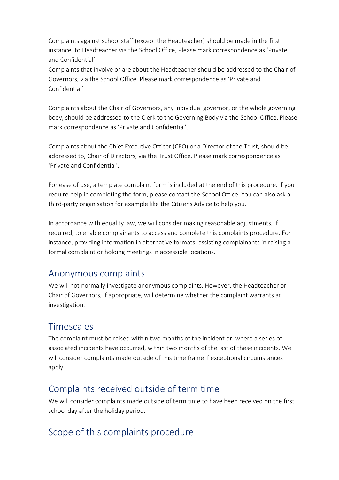Complaints against school staff (except the Headteacher) should be made in the first instance, to Headteacher via the School Office*.* Please mark correspondence as 'Private and Confidential'.

Complaints that involve or are about the Headteacher should be addressed to the Chair of Governors, via the School Office. Please mark correspondence as 'Private and Confidential'.

Complaints about the Chair of Governors, any individual governor, or the whole governing body, should be addressed to the Clerk to the Governing Body via the School Office. Please mark correspondence as 'Private and Confidential'.

Complaints about the Chief Executive Officer (CEO) or a Director of the Trust, should be addressed to, Chair of Directors, via the Trust Office. Please mark correspondence as 'Private and Confidential'.

For ease of use, a template complaint form is included at the end of this procedure. If you require help in completing the form, please contact the School Office. You can also ask a third-party organisation for example like the Citizens Advice to help you.

In accordance with equality law, we will consider making reasonable adjustments, if required, to enable complainants to access and complete this complaints procedure. For instance, providing information in alternative formats, assisting complainants in raising a formal complaint or holding meetings in accessible locations.

#### Anonymous complaints

We will not normally investigate anonymous complaints. However, the Headteacher or Chair of Governors, if appropriate, will determine whether the complaint warrants an investigation.

### Timescales

The complaint must be raised within two months of the incident or, where a series of associated incidents have occurred, within two months of the last of these incidents. We will consider complaints made outside of this time frame if exceptional circumstances apply.

#### Complaints received outside of term time

We will consider complaints made outside of term time to have been received on the first school day after the holiday period.

## Scope of this complaints procedure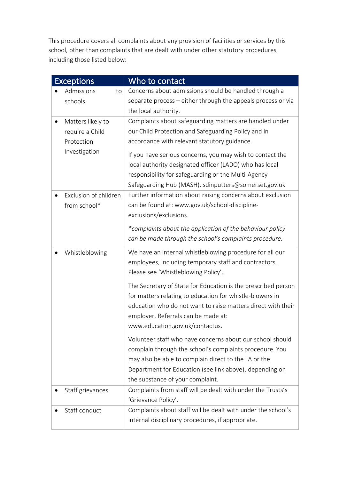This procedure covers all complaints about any provision of facilities or services by this school, other than complaints that are dealt with under other statutory procedures, including those listed below:

| <b>Exceptions</b>                                                   | Who to contact                                                                                                                                                                                                                                                                                                                                                                                                                                                                                                                                                                                                                                                             |
|---------------------------------------------------------------------|----------------------------------------------------------------------------------------------------------------------------------------------------------------------------------------------------------------------------------------------------------------------------------------------------------------------------------------------------------------------------------------------------------------------------------------------------------------------------------------------------------------------------------------------------------------------------------------------------------------------------------------------------------------------------|
| Admissions<br>to<br>schools                                         | Concerns about admissions should be handled through a<br>separate process - either through the appeals process or via<br>the local authority.                                                                                                                                                                                                                                                                                                                                                                                                                                                                                                                              |
| Matters likely to<br>require a Child<br>Protection<br>Investigation | Complaints about safeguarding matters are handled under<br>our Child Protection and Safeguarding Policy and in<br>accordance with relevant statutory guidance.<br>If you have serious concerns, you may wish to contact the<br>local authority designated officer (LADO) who has local<br>responsibility for safeguarding or the Multi-Agency<br>Safeguarding Hub (MASH). sdinputters@somerset.gov.uk                                                                                                                                                                                                                                                                      |
| Exclusion of children<br>from school*                               | Further information about raising concerns about exclusion<br>can be found at: www.gov.uk/school-discipline-<br>exclusions/exclusions.<br>*complaints about the application of the behaviour policy<br>can be made through the school's complaints procedure.                                                                                                                                                                                                                                                                                                                                                                                                              |
| Whistleblowing                                                      | We have an internal whistleblowing procedure for all our<br>employees, including temporary staff and contractors.<br>Please see 'Whistleblowing Policy'.<br>The Secretary of State for Education is the prescribed person<br>for matters relating to education for whistle-blowers in<br>education who do not want to raise matters direct with their<br>employer. Referrals can be made at:<br>www.education.gov.uk/contactus.<br>Volunteer staff who have concerns about our school should<br>complain through the school's complaints procedure. You<br>may also be able to complain direct to the LA or the<br>Department for Education (see link above), depending on |
| Staff grievances                                                    | the substance of your complaint.<br>Complaints from staff will be dealt with under the Trusts's<br>'Grievance Policy'.                                                                                                                                                                                                                                                                                                                                                                                                                                                                                                                                                     |
| Staff conduct                                                       | Complaints about staff will be dealt with under the school's<br>internal disciplinary procedures, if appropriate.                                                                                                                                                                                                                                                                                                                                                                                                                                                                                                                                                          |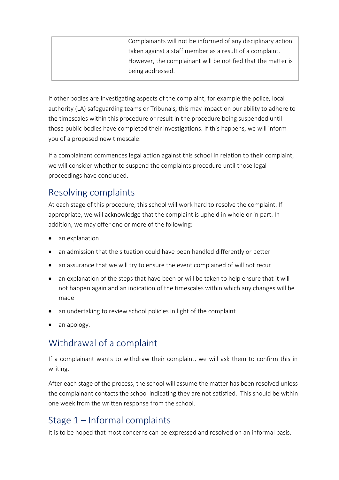|  | Complainants will not be informed of any disciplinary action |
|--|--------------------------------------------------------------|
|  | taken against a staff member as a result of a complaint.     |
|  | However, the complainant will be notified that the matter is |
|  | being addressed.                                             |
|  |                                                              |

If other bodies are investigating aspects of the complaint, for example the police, local authority (LA) safeguarding teams or Tribunals, this may impact on our ability to adhere to the timescales within this procedure or result in the procedure being suspended until those public bodies have completed their investigations. If this happens, we will inform you of a proposed new timescale.

If a complainant commences legal action against this school in relation to their complaint, we will consider whether to suspend the complaints procedure until those legal proceedings have concluded.

### Resolving complaints

At each stage of this procedure, this school will work hard to resolve the complaint. If appropriate, we will acknowledge that the complaint is upheld in whole or in part. In addition, we may offer one or more of the following:

- an explanation
- an admission that the situation could have been handled differently or better
- an assurance that we will try to ensure the event complained of will not recur
- an explanation of the steps that have been or will be taken to help ensure that it will not happen again and an indication of the timescales within which any changes will be made
- an undertaking to review school policies in light of the complaint
- an apology.

## Withdrawal of a complaint

If a complainant wants to withdraw their complaint, we will ask them to confirm this in writing.

After each stage of the process, the school will assume the matter has been resolved unless the complainant contacts the school indicating they are not satisfied. This should be within one week from the written response from the school.

## Stage 1 – Informal complaints

It is to be hoped that most concerns can be expressed and resolved on an informal basis.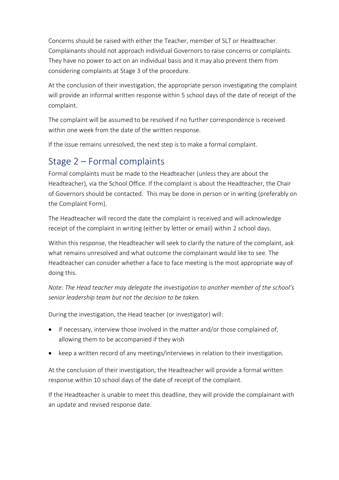Concerns should be raised with either the Teacher, member of SLT or Headteacher. Complainants should not approach individual Governors to raise concerns or complaints. They have no power to act on an individual basis and it may also prevent them from considering complaints at Stage 3 of the procedure.

At the conclusion of their investigation, the appropriate person investigating the complaint will provide an informal written response within 5 school days of the date of receipt of the complaint.

The complaint will be assumed to be resolved if no further correspondence is received within one week from the date of the written response.

If the issue remains unresolved, the next step is to make a formal complaint.

#### Stage 2 – Formal complaints

Formal complaints must be made to the Headteacher (unless they are about the Headteacher), via the School Office. If the complaint is about the Headteacher, the Chair of Governors should be contacted. This may be done in person or in writing (preferably on the Complaint Form).

The Headteacher will record the date the complaint is received and will acknowledge receipt of the complaint in writing (either by letter or email) within 2 school days.

Within this response, the Headteacher will seek to clarify the nature of the complaint, ask what remains unresolved and what outcome the complainant would like to see. The Headteacher can consider whether a face to face meeting is the most appropriate way of doing this.

*Note: The Head teacher may delegate the investigation to another member of the school's senior leadership team but not the decision to be taken.*

During the investigation, the Head teacher (or investigator) will:

- if necessary, interview those involved in the matter and/or those complained of, allowing them to be accompanied if they wish
- keep a written record of any meetings/interviews in relation to their investigation.

At the conclusion of their investigation, the Headteacher will provide a formal written response within 10 school days of the date of receipt of the complaint.

If the Headteacher is unable to meet this deadline, they will provide the complainant with an update and revised response date.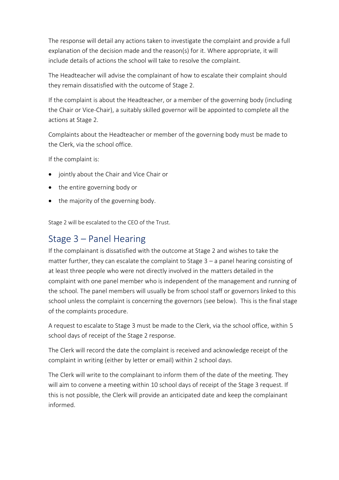The response will detail any actions taken to investigate the complaint and provide a full explanation of the decision made and the reason(s) for it. Where appropriate, it will include details of actions the school will take to resolve the complaint.

The Headteacher will advise the complainant of how to escalate their complaint should they remain dissatisfied with the outcome of Stage 2.

If the complaint is about the Headteacher, or a member of the governing body (including the Chair or Vice-Chair), a suitably skilled governor will be appointed to complete all the actions at Stage 2.

Complaints about the Headteacher or member of the governing body must be made to the Clerk, via the school office.

If the complaint is:

- jointly about the Chair and Vice Chair or
- the entire governing body or
- the majority of the governing body.

Stage 2 will be escalated to the CEO of the Trust.

#### Stage 3 – Panel Hearing

If the complainant is dissatisfied with the outcome at Stage 2 and wishes to take the matter further, they can escalate the complaint to Stage 3 – a panel hearing consisting of at least three people who were not directly involved in the matters detailed in the complaint with one panel member who is independent of the management and running of the school. The panel members will usually be from school staff or governors linked to this school unless the complaint is concerning the governors (see below). This is the final stage of the complaints procedure.

A request to escalate to Stage 3 must be made to the Clerk, via the school office, within 5 school days of receipt of the Stage 2 response.

The Clerk will record the date the complaint is received and acknowledge receipt of the complaint in writing (either by letter or email) within 2 school days.

The Clerk will write to the complainant to inform them of the date of the meeting. They will aim to convene a meeting within 10 school days of receipt of the Stage 3 request. If this is not possible, the Clerk will provide an anticipated date and keep the complainant informed.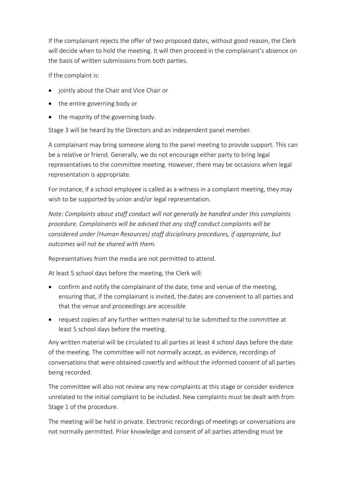If the complainant rejects the offer of two proposed dates, without good reason, the Clerk will decide when to hold the meeting. It will then proceed in the complainant's absence on the basis of written submissions from both parties.

If the complaint is:

- jointly about the Chair and Vice Chair or
- the entire governing body or
- the majority of the governing body.

Stage 3 will be heard by the Directors and an independent panel member.

A complainant may bring someone along to the panel meeting to provide support. This can be a relative or friend. Generally, we do not encourage either party to bring legal representatives to the committee meeting. However, there may be occasions when legal representation is appropriate.

For instance, if a school employee is called as a witness in a complaint meeting, they may wish to be supported by union and/or legal representation.

*Note: Complaints about staff conduct will not generally be handled under this complaints procedure. Complainants will be advised that any staff conduct complaints will be considered under (Human Resources) staff disciplinary procedures, if appropriate, but outcomes will not be shared with them.* 

Representatives from the media are not permitted to attend.

At least 5 school days before the meeting, the Clerk will:

- confirm and notify the complainant of the date, time and venue of the meeting, ensuring that, if the complainant is invited, the dates are convenient to all parties and that the venue and proceedings are accessible
- request copies of any further written material to be submitted to the committee at least 5 school days before the meeting.

Any written material will be circulated to all parties at least 4 school days before the date of the meeting. The committee will not normally accept, as evidence, recordings of conversations that were obtained covertly and without the informed consent of all parties being recorded.

The committee will also not review any new complaints at this stage or consider evidence unrelated to the initial complaint to be included. New complaints must be dealt with from Stage 1 of the procedure.

The meeting will be held in private. Electronic recordings of meetings or conversations are not normally permitted. Prior knowledge and consent of all parties attending must be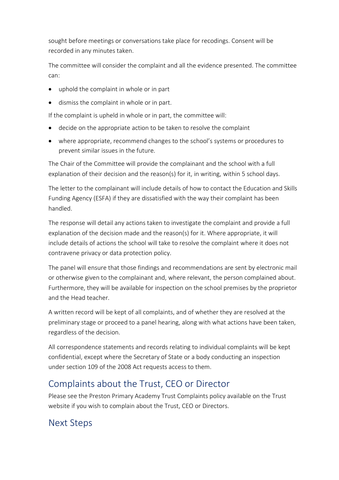sought before meetings or conversations take place for recodings. Consent will be recorded in any minutes taken.

The committee will consider the complaint and all the evidence presented. The committee can:

- uphold the complaint in whole or in part
- dismiss the complaint in whole or in part.

If the complaint is upheld in whole or in part, the committee will:

- decide on the appropriate action to be taken to resolve the complaint
- where appropriate, recommend changes to the school's systems or procedures to prevent similar issues in the future.

The Chair of the Committee will provide the complainant and the school with a full explanation of their decision and the reason(s) for it, in writing, within 5 school days.

The letter to the complainant will include details of how to contact the Education and Skills Funding Agency (ESFA) if they are dissatisfied with the way their complaint has been handled.

The response will detail any actions taken to investigate the complaint and provide a full explanation of the decision made and the reason(s) for it. Where appropriate, it will include details of actions the school will take to resolve the complaint where it does not contravene privacy or data protection policy.

The panel will ensure that those findings and recommendations are sent by electronic mail or otherwise given to the complainant and, where relevant, the person complained about. Furthermore, they will be available for inspection on the school premises by the proprietor and the Head teacher.

A written record will be kept of all complaints, and of whether they are resolved at the preliminary stage or proceed to a panel hearing, along with what actions have been taken, regardless of the decision.

All correspondence statements and records relating to individual complaints will be kept confidential, except where the Secretary of State or a body conducting an inspection under section 109 of the 2008 Act requests access to them.

### Complaints about the Trust, CEO or Director

Please see the Preston Primary Academy Trust Complaints policy available on the Trust website if you wish to complain about the Trust, CEO or Directors.

## Next Steps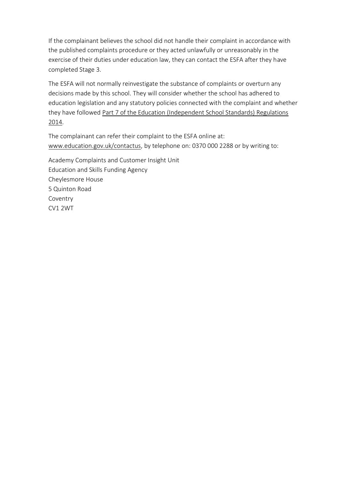If the complainant believes the school did not handle their complaint in accordance with the published complaints procedure or they acted unlawfully or unreasonably in the exercise of their duties under education law, they can contact the ESFA after they have completed Stage 3.

The ESFA will not normally reinvestigate the substance of complaints or overturn any decisions made by this school. They will consider whether the school has adhered to education legislation and any statutory policies connected with the complaint and whether they have followed [Part 7 of the Education \(Independent School Standards\) Regulations](http://www.legislation.gov.uk/uksi/2010/1997/schedule/1/made)  [2014.](http://www.legislation.gov.uk/uksi/2010/1997/schedule/1/made)

The complainant can refer their complaint to the ESFA online at: [www.education.gov.uk/contactus,](http://www.education.gov.uk/contactus) by telephone on: 0370 000 2288 or by writing to:

Academy Complaints and Customer Insight Unit Education and Skills Funding Agency Cheylesmore House 5 Quinton Road Coventry CV1 2WT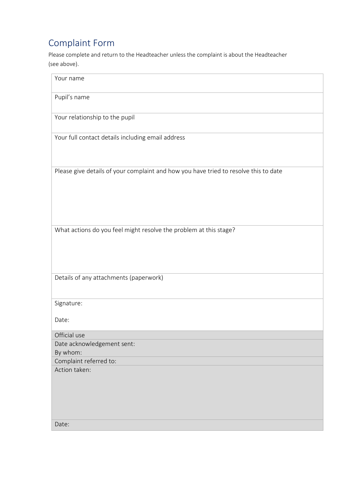## Complaint Form

Please complete and return to the Headteacher unless the complaint is about the Headteacher (see above).

| Your name                                                                            |
|--------------------------------------------------------------------------------------|
| Pupil's name                                                                         |
| Your relationship to the pupil                                                       |
| Your full contact details including email address                                    |
| Please give details of your complaint and how you have tried to resolve this to date |
| What actions do you feel might resolve the problem at this stage?                    |
| Details of any attachments (paperwork)                                               |
| Signature:                                                                           |
| Date:                                                                                |
| Official use                                                                         |
| Date acknowledgement sent:                                                           |
| By whom:                                                                             |
| Complaint referred to:                                                               |
| Action taken:                                                                        |
| Date:                                                                                |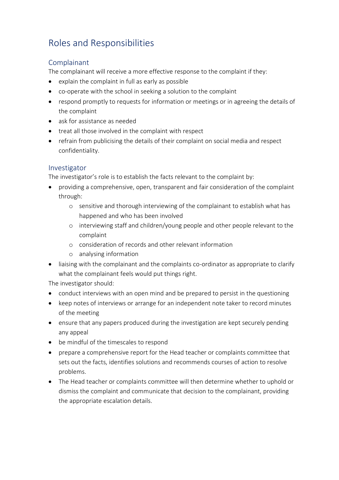## Roles and Responsibilities

#### Complainant

The complainant will receive a more effective response to the complaint if they:

- explain the complaint in full as early as possible
- co-operate with the school in seeking a solution to the complaint
- respond promptly to requests for information or meetings or in agreeing the details of the complaint
- ask for assistance as needed
- treat all those involved in the complaint with respect
- refrain from publicising the details of their complaint on social media and respect confidentiality.

#### Investigator

The investigator's role is to establish the facts relevant to the complaint by:

- providing a comprehensive, open, transparent and fair consideration of the complaint through:
	- o sensitive and thorough interviewing of the complainant to establish what has happened and who has been involved
	- o interviewing staff and children/young people and other people relevant to the complaint
	- o consideration of records and other relevant information
	- o analysing information
- liaising with the complainant and the complaints co-ordinator as appropriate to clarify what the complainant feels would put things right.

The investigator should:

- conduct interviews with an open mind and be prepared to persist in the questioning
- keep notes of interviews or arrange for an independent note taker to record minutes of the meeting
- ensure that any papers produced during the investigation are kept securely pending any appeal
- be mindful of the timescales to respond
- prepare a comprehensive report for the Head teacher or complaints committee that sets out the facts, identifies solutions and recommends courses of action to resolve problems.
- The Head teacher or complaints committee will then determine whether to uphold or dismiss the complaint and communicate that decision to the complainant, providing the appropriate escalation details.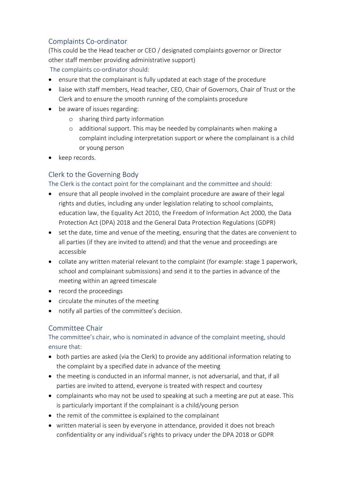#### Complaints Co-ordinator

(This could be the Head teacher or CEO / designated complaints governor or Director other staff member providing administrative support) The complaints co-ordinator should:

- ensure that the complainant is fully updated at each stage of the procedure
- liaise with staff members, Head teacher, CEO, Chair of Governors, Chair of Trust or the Clerk and to ensure the smooth running of the complaints procedure
- be aware of issues regarding:
	- o sharing third party information
	- o additional support. This may be needed by complainants when making a complaint including interpretation support or where the complainant is a child or young person
- keep records.

#### Clerk to the Governing Body

#### The Clerk is the contact point for the complainant and the committee and should:

- ensure that all people involved in the complaint procedure are aware of their legal rights and duties, including any under legislation relating to school complaints, education law, the Equality Act 2010, the Freedom of Information Act 2000, the Data Protection Act (DPA) 2018 and the General Data Protection Regulations (GDPR)
- set the date, time and venue of the meeting, ensuring that the dates are convenient to all parties (if they are invited to attend) and that the venue and proceedings are accessible
- collate any written material relevant to the complaint (for example: stage 1 paperwork, school and complainant submissions) and send it to the parties in advance of the meeting within an agreed timescale
- record the proceedings
- circulate the minutes of the meeting
- notify all parties of the committee's decision.

#### Committee Chair

#### The committee's chair, who is nominated in advance of the complaint meeting, should ensure that:

- both parties are asked (via the Clerk) to provide any additional information relating to the complaint by a specified date in advance of the meeting
- the meeting is conducted in an informal manner, is not adversarial, and that, if all parties are invited to attend, everyone is treated with respect and courtesy
- complainants who may not be used to speaking at such a meeting are put at ease. This is particularly important if the complainant is a child/young person
- the remit of the committee is explained to the complainant
- written material is seen by everyone in attendance, provided it does not breach confidentiality or any individual's rights to privacy under the DPA 2018 or GDPR